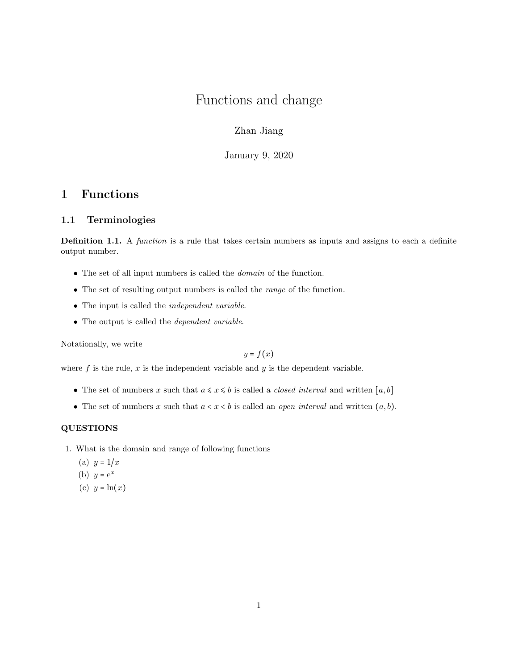# Functions and change

Zhan Jiang

January 9, 2020

## 1 Functions

## 1.1 Terminologies

Definition 1.1. A *function* is a rule that takes certain numbers as inputs and assigns to each a definite output number.

- $\bullet\,$  The set of all input numbers is called the  $\emph{domain}$  of the function.
- The set of resulting output numbers is called the *range* of the function.
- The input is called the independent variable.
- The output is called the dependent variable.

Notationally, we write

$$
y = f(x)
$$

where  $f$  is the rule,  $x$  is the independent variable and  $y$  is the dependent variable.

- The set of numbers x such that  $a \leq x \leq b$  is called a *closed interval* and written  $[a, b]$
- The set of numbers x such that  $a < x < b$  is called an *open interval* and written  $(a, b)$ .

### QUESTIONS

- 1. What is the domain and range of following functions
	- (a)  $y = 1/x$
	- (b)  $y = e^x$
	- (c)  $y = \ln(x)$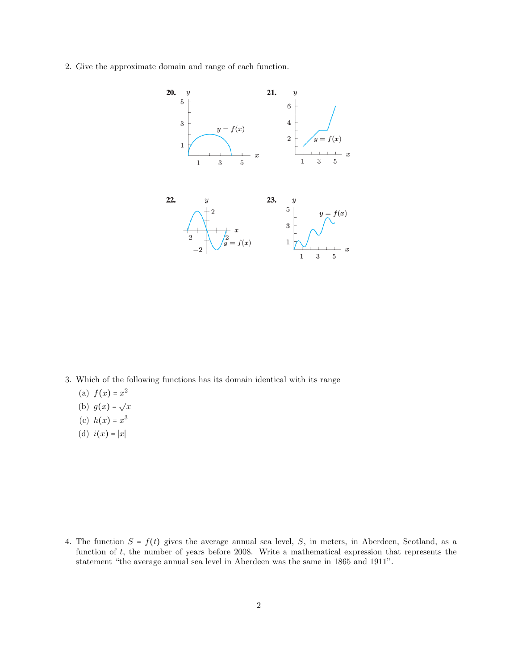2. Give the approximate domain and range of each function.



3. Which of the following functions has its domain identical with its range

- (a)  $f(x) = x^2$
- (b)  $g(x) = \sqrt{x}$
- (c)  $h(x) = x^3$
- (d)  $i(x) = |x|$

4. The function  $S = f(t)$  gives the average annual sea level, S, in meters, in Aberdeen, Scotland, as a function of t, the number of years before 2008. Write a mathematical expression that represents the statement "the average annual sea level in Aberdeen was the same in 1865 and 1911".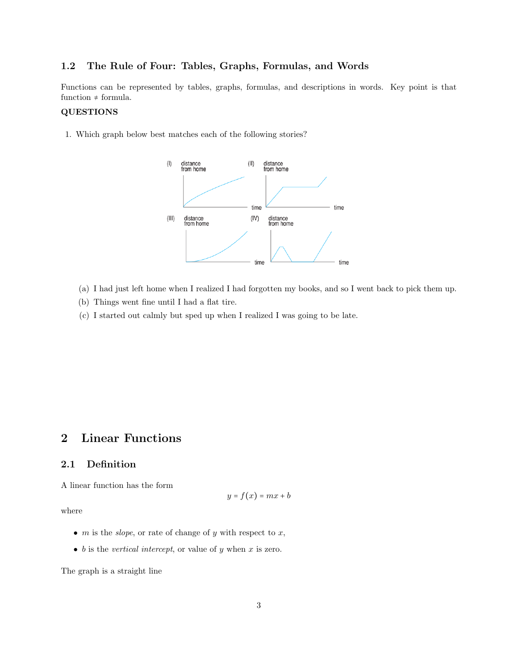## 1.2 The Rule of Four: Tables, Graphs, Formulas, and Words

Functions can be represented by tables, graphs, formulas, and descriptions in words. Key point is that function  $\neq$  formula.

### QUESTIONS

1. Which graph below best matches each of the following stories?



- (a) I had just left home when I realized I had forgotten my books, and so I went back to pick them up.
- (b) Things went fine until I had a flat tire.
- (c) I started out calmly but sped up when I realized I was going to be late.

## 2 Linear Functions

## 2.1 Definition

A linear function has the form

$$
y = f(x) = mx + b
$$

where

- $m$  is the *slope*, or rate of change of  $y$  with respect to  $x$ ,
- $\bullet$  b is the *vertical intercept*, or value of y when x is zero.

The graph is a straight line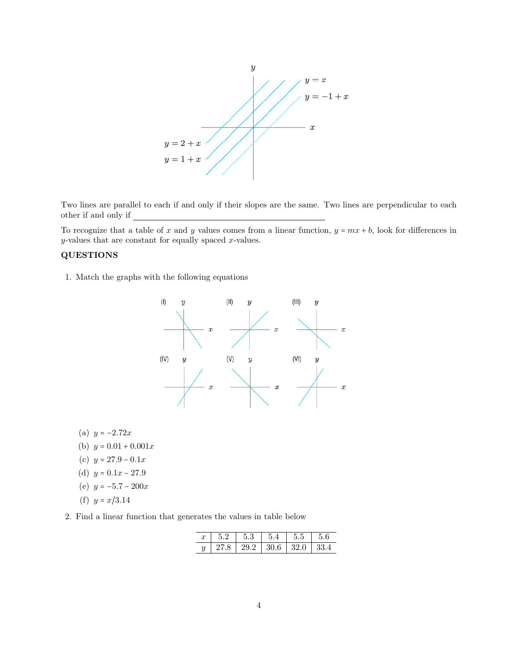

Two lines are parallel to each if and only if their slopes are the same. Two lines are perpendicular to each other if and only if

To recognize that a table of x and y values comes from a linear function,  $y = mx + b$ , look for differences in  $y$ -values that are constant for equally spaced  $x$ -values.

## QUESTIONS

1. Match the graphs with the following equations



- (a)  $y = -2.72x$
- (b)  $y = 0.01 + 0.001x$
- (c)  $y = 27.9 0.1x$
- (d)  $y = 0.1x 27.9$
- (e)  $y = -5.7 200x$
- (f)  $y = x/3.14$

2. Find a linear function that generates the values in table below

|               |                                                             | $\parallel$ 5.3 | $1\;\;5.4$ | 1, 5.5 | $1\,5.6$ |
|---------------|-------------------------------------------------------------|-----------------|------------|--------|----------|
| $\mathcal{Y}$ | $\mid$ 27.8 $\mid$ 29.2 $\mid$ 30.6 $\mid$ 32.0 $\mid$ 33.4 |                 |            |        |          |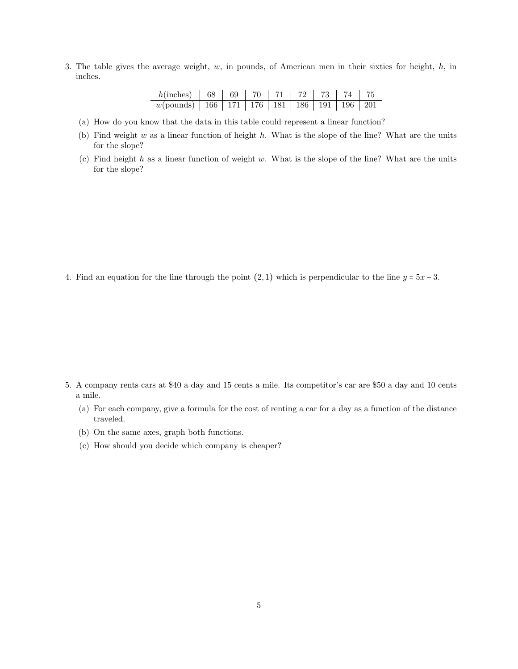3. The table gives the average weight,  $w$ , in pounds, of American men in their sixties for height,  $h$ , in inches.

| $h(\text{inches})$   68   69   70   71   72   73   74   75         |  |  |  |  |
|--------------------------------------------------------------------|--|--|--|--|
| $w(\text{pounds})$   166   171   176   181   186   191   196   201 |  |  |  |  |

- (a) How do you know that the data in this table could represent a linear function?
- (b) Find weight  $w$  as a linear function of height  $h$ . What is the slope of the line? What are the units for the slope?
- (c) Find height h as a linear function of weight w. What is the slope of the line? What are the units for the slope?

4. Find an equation for the line through the point  $(2,1)$  which is perpendicular to the line  $y = 5x - 3$ .

- 5. A company rents cars at \$40 a day and 15 cents a mile. Its competitor's car are \$50 a day and 10 cents a mile.
	- (a) For each company, give a formula for the cost of renting a car for a day as a function of the distance traveled.
	- (b) On the same axes, graph both functions.
	- (c) How should you decide which company is cheaper?